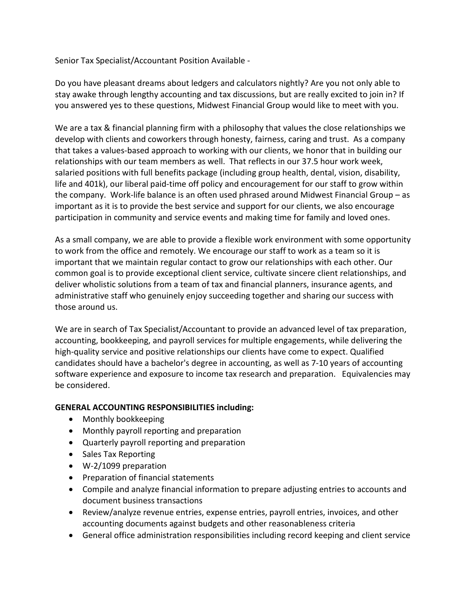Senior Tax Specialist/Accountant Position Available -

Do you have pleasant dreams about ledgers and calculators nightly? Are you not only able to stay awake through lengthy accounting and tax discussions, but are really excited to join in? If you answered yes to these questions, Midwest Financial Group would like to meet with you.

We are a tax & financial planning firm with a philosophy that values the close relationships we develop with clients and coworkers through honesty, fairness, caring and trust. As a company that takes a values-based approach to working with our clients, we honor that in building our relationships with our team members as well. That reflects in our 37.5 hour work week, salaried positions with full benefits package (including group health, dental, vision, disability, life and 401k), our liberal paid-time off policy and encouragement for our staff to grow within the company. Work-life balance is an often used phrased around Midwest Financial Group – as important as it is to provide the best service and support for our clients, we also encourage participation in community and service events and making time for family and loved ones.

As a small company, we are able to provide a flexible work environment with some opportunity to work from the office and remotely. We encourage our staff to work as a team so it is important that we maintain regular contact to grow our relationships with each other. Our common goal is to provide exceptional client service, cultivate sincere client relationships, and deliver wholistic solutions from a team of tax and financial planners, insurance agents, and administrative staff who genuinely enjoy succeeding together and sharing our success with those around us.

We are in search of Tax Specialist/Accountant to provide an advanced level of tax preparation, accounting, bookkeeping, and payroll services for multiple engagements, while delivering the high-quality service and positive relationships our clients have come to expect. Qualified candidates should have a bachelor's degree in accounting, as well as 7-10 years of accounting software experience and exposure to income tax research and preparation. Equivalencies may be considered.

## **GENERAL ACCOUNTING RESPONSIBILITIES including:**

- Monthly bookkeeping
- Monthly payroll reporting and preparation
- Quarterly payroll reporting and preparation
- Sales Tax Reporting
- W-2/1099 preparation
- Preparation of financial statements
- Compile and analyze financial information to prepare adjusting entries to accounts and document business transactions
- Review/analyze revenue entries, expense entries, payroll entries, invoices, and other accounting documents against budgets and other reasonableness criteria
- General office administration responsibilities including record keeping and client service